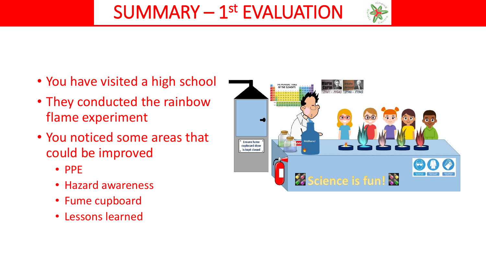

- You have visited a high school
- They conducted the rainbow flame experiment
- You noticed some areas that could be improved
	- PPE
	- Hazard awareness
	- Fume cupboard
	- Lessons learned

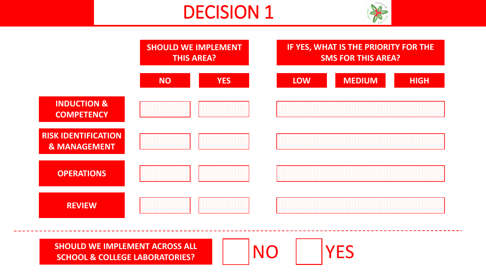## DECISION 1





**SHOULD WE IMPLEMENT ACROSS ALL**  SHOULD WE IMPLEMENT ACROSS ALL **NO YES** 

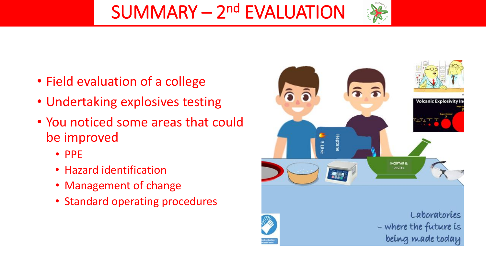SUMMARY - 2<sup>nd</sup> EVALUATION

- Field evaluation of a college
- Undertaking explosives testing
- You noticed some areas that could be improved
	- PPE
	- Hazard identification
	- Management of change
	- Standard operating procedures

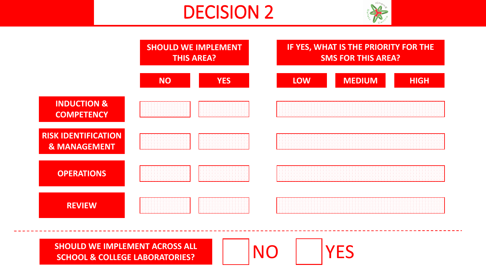## DECISION 2





**SHOULD WE IMPLEMENT ACROSS ALL**  SHOULD WE IMPLEMENT ACROSS ALL **NO YES** 

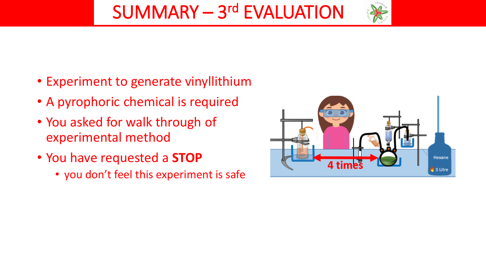- Experiment to generate vinyllithium
- A pyrophoric chemical is required
- You asked for walk through of experimental method
- You have requested a **STOP**
	- you don't feel this experiment is safe